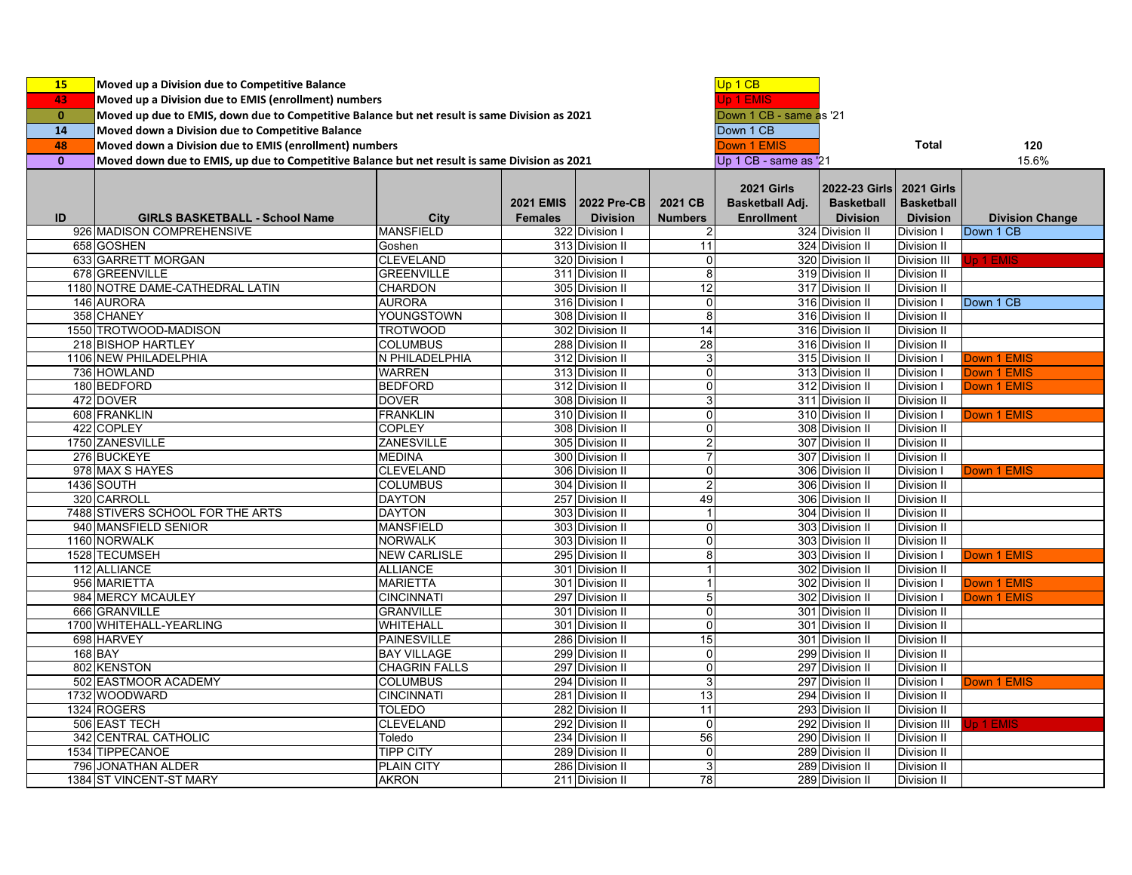| <b>15</b>    | Moved up a Division due to Competitive Balance                                                |                      |                       |                                      |                         | Up 1 CB            |                            |                     |                        |
|--------------|-----------------------------------------------------------------------------------------------|----------------------|-----------------------|--------------------------------------|-------------------------|--------------------|----------------------------|---------------------|------------------------|
| 43           | Moved up a Division due to EMIS (enrollment) numbers                                          |                      |                       |                                      |                         |                    |                            |                     |                        |
| $\mathbf{0}$ | Moved up due to EMIS, down due to Competitive Balance but net result is same Division as 2021 |                      |                       |                                      |                         |                    |                            |                     |                        |
| 14           | Moved down a Division due to Competitive Balance                                              |                      |                       | Down 1 CB - same as '21<br>Down 1 CB |                         |                    |                            |                     |                        |
| 48           | Moved down a Division due to EMIS (enrollment) numbers                                        |                      |                       |                                      |                         | <b>Down 1 EMIS</b> |                            | <b>Total</b>        | 120                    |
| $\mathbf{0}$ | Moved down due to EMIS, up due to Competitive Balance but net result is same Division as 2021 |                      | Up 1 CB - same as '21 |                                      |                         | 15.6%              |                            |                     |                        |
|              |                                                                                               |                      |                       |                                      |                         |                    |                            |                     |                        |
|              |                                                                                               |                      |                       |                                      |                         | <b>2021 Girls</b>  | 2022-23 Girls   2021 Girls |                     |                        |
|              |                                                                                               |                      | <b>2021 EMIS</b>      | <b>2022 Pre-CB</b>                   | 2021 CB                 | Basketball Adj.    | <b>Basketball</b>          | <b>Basketball</b>   |                        |
| ID           | <b>GIRLS BASKETBALL - School Name</b>                                                         | City                 | <b>Females</b>        | <b>Division</b>                      | <b>Numbers</b>          | <b>Enrollment</b>  | <b>Division</b>            | <b>Division</b>     | <b>Division Change</b> |
|              | 926 MADISON COMPREHENSIVE                                                                     | <b>MANSFIELD</b>     |                       | 322 Division I                       | $\overline{c}$          |                    | 324 Division II            | Division I          | Down 1 CB              |
|              | 658 GOSHEN                                                                                    | Goshen               |                       | 313 Division II                      | 11                      |                    | 324 Division II            | Division II         |                        |
|              | 633 GARRETT MORGAN                                                                            | <b>CLEVELAND</b>     |                       | 320 Division I                       | $\mathbf 0$             |                    | 320 Division II            | Division III        | Jp 1 EMIS              |
|              | 678 GREENVILLE                                                                                | <b>GREENVILLE</b>    |                       | 311 Division II                      | 8                       |                    | 319 Division II            | Division II         |                        |
|              | 1180 NOTRE DAME-CATHEDRAL LATIN                                                               | <b>CHARDON</b>       |                       | 305 Division II                      | $\overline{12}$         |                    | 317 Division II            | Division II         |                        |
|              | 146 AURORA                                                                                    | <b>AURORA</b>        |                       | 316 Division I                       | $\mathbf 0$             |                    | 316 Division II            | Division I          | Down 1 CB              |
|              | 358 CHANEY                                                                                    | YOUNGSTOWN           |                       | 308 Division II                      | $\overline{8}$          |                    | 316 Division II            | <b>Division II</b>  |                        |
|              | 1550 TROTWOOD-MADISON                                                                         | <b>TROTWOOD</b>      |                       | 302 Division II                      | $\overline{14}$         |                    | 316 Division II            | Division II         |                        |
|              | 218 BISHOP HARTLEY                                                                            | <b>COLUMBUS</b>      |                       | 288 Division II                      | 28                      |                    | 316 Division II            | Division II         |                        |
|              | 1106 NEW PHILADELPHIA                                                                         | N PHILADELPHIA       |                       | 312 Division II                      | 3                       |                    | 315 Division II            | Division I          | Down 1 EMIS            |
|              | 736 HOWLAND                                                                                   | <b>WARREN</b>        |                       | 313 Division II                      | $\overline{0}$          |                    | 313 Division II            | Division I          | <b>Down 1 EMIS</b>     |
|              | 180 BEDFORD                                                                                   | <b>BEDFORD</b>       |                       | 312 Division II                      | $\mathbf 0$             |                    | 312 Division II            | Division I          | Down 1 EMIS            |
|              | 472 DOVER                                                                                     | <b>DOVER</b>         |                       | 308 Division II                      | $\mathbf{3}$            |                    | 311 Division II            | <b>Division II</b>  |                        |
|              | 608 FRANKLIN                                                                                  | <b>FRANKLIN</b>      |                       | 310 Division II                      | $\Omega$                |                    | 310 Division II            | Division I          | <b>Down 1 EMIS</b>     |
|              | 422 COPLEY                                                                                    | <b>COPLEY</b>        |                       | 308 Division II                      | $\mathbf 0$             |                    | 308 Division II            | <b>Division II</b>  |                        |
|              | 1750 ZANESVILLE                                                                               | ZANESVILLE           |                       | 305 Division II                      | $\overline{2}$          |                    | 307 Division II            | <b>Division II</b>  |                        |
|              | 276 BUCKEYE                                                                                   | <b>MEDINA</b>        |                       | 300 Division II                      | 7                       |                    | 307 Division II            | Division II         |                        |
|              | 978 MAX S HAYES                                                                               | <b>CLEVELAND</b>     |                       | 306 Division II                      | $\overline{\mathsf{o}}$ |                    | 306 Division II            | Division I          | Down 1 EMIS            |
|              | 1436 SOUTH                                                                                    | <b>COLUMBUS</b>      |                       | 304 Division II                      | $\boldsymbol{2}$        |                    | 306 Division II            | Division II         |                        |
|              | 320 CARROLL                                                                                   | <b>DAYTON</b>        |                       | 257 Division II                      | 49                      |                    | 306 Division II            | Division II         |                        |
|              | 7488 STIVERS SCHOOL FOR THE ARTS                                                              | <b>DAYTON</b>        |                       | 303 Division II                      | $\mathbf{1}$            |                    | 304 Division II            | <b>Division II</b>  |                        |
|              | 940 MANSFIELD SENIOR                                                                          | <b>MANSFIELD</b>     |                       | 303 Division II                      | $\mathbf 0$             |                    | 303 Division II            | <b>Division II</b>  |                        |
|              | 1160 NORWALK                                                                                  | <b>NORWALK</b>       |                       | 303 Division II                      | $\mathbf 0$             |                    | 303 Division II            | Division II         |                        |
|              | 1528 TECUMSEH                                                                                 | <b>NEW CARLISLE</b>  |                       | 295 Division II                      | 8                       |                    | 303 Division II            | Division I          | Down 1 EMIS            |
|              | 112 ALLIANCE                                                                                  | <b>ALLIANCE</b>      |                       | 301 Division II                      | 1                       |                    | 302 Division II            | Division II         |                        |
|              | 956 MARIETTA                                                                                  | <b>MARIETTA</b>      |                       | 301 Division II                      | $\mathbf{1}$            |                    | 302 Division II            | <b>Division I</b>   | Down 1 EMIS            |
|              | 984 MERCY MCAULEY                                                                             | <b>CINCINNATI</b>    |                       | 297 Division II                      | 5                       |                    | 302 Division II            | Division I          | Down 1 EMIS            |
|              | 666 GRANVILLE                                                                                 | <b>GRANVILLE</b>     |                       | 301 Division II                      | $\mathbf 0$             |                    | 301 Division II            | Division II         |                        |
|              | 1700 WHITEHALL-YEARLING                                                                       | WHITEHALL            |                       | 301 Division II                      | $\Omega$                |                    | 301 Division II            | <b>Division II</b>  |                        |
|              | 698 HARVEY                                                                                    | <b>PAINESVILLE</b>   |                       | 286 Division II                      | 15                      |                    | 301 Division II            | <b>Division II</b>  |                        |
|              | 168 BAY                                                                                       | <b>BAY VILLAGE</b>   |                       | 299 Division II                      | $\mathbf 0$             |                    | 299 Division II            | <b>Division II</b>  |                        |
|              | 802 KENSTON                                                                                   | <b>CHAGRIN FALLS</b> |                       | 297 Division II                      | $\mathbf 0$             |                    | 297 Division II            | Division II         |                        |
|              | 502 EASTMOOR ACADEMY                                                                          | <b>COLUMBUS</b>      |                       | 294 Division II                      | $\overline{3}$          |                    | 297 Division II            | Division I          | Down 1 EMIS            |
|              | 1732 WOODWARD                                                                                 | <b>CINCINNATI</b>    |                       | 281 Division II                      | 13                      |                    | 294 Division II            | <b>Division II</b>  |                        |
|              | 1324 ROGERS                                                                                   | <b>TOLEDO</b>        |                       | 282 Division II                      | 11                      |                    | 293 Division II            | <b>Division II</b>  |                        |
|              | 506 EAST TECH                                                                                 | <b>CLEVELAND</b>     |                       | 292 Division II                      | $\mathbf 0$             |                    | 292 Division II            | <b>Division III</b> | Jp 1 EMIS              |
|              | 342 CENTRAL CATHOLIC                                                                          | Toledo               |                       | 234 Division II                      | 56                      |                    | 290 Division II            | Division II         |                        |
|              | 1534 TIPPECANOE                                                                               | <b>TIPP CITY</b>     |                       | 289 Division II                      | $\overline{0}$          |                    | 289 Division II            | Division II         |                        |
|              | 796 JONATHAN ALDER                                                                            | <b>PLAIN CITY</b>    |                       | 286 Division II                      | 3                       |                    | 289 Division II            | <b>Division II</b>  |                        |
|              | 1384 ST VINCENT-ST MARY                                                                       | <b>AKRON</b>         |                       | 211 Division II                      | 78                      |                    | 289 Division II            | <b>Division II</b>  |                        |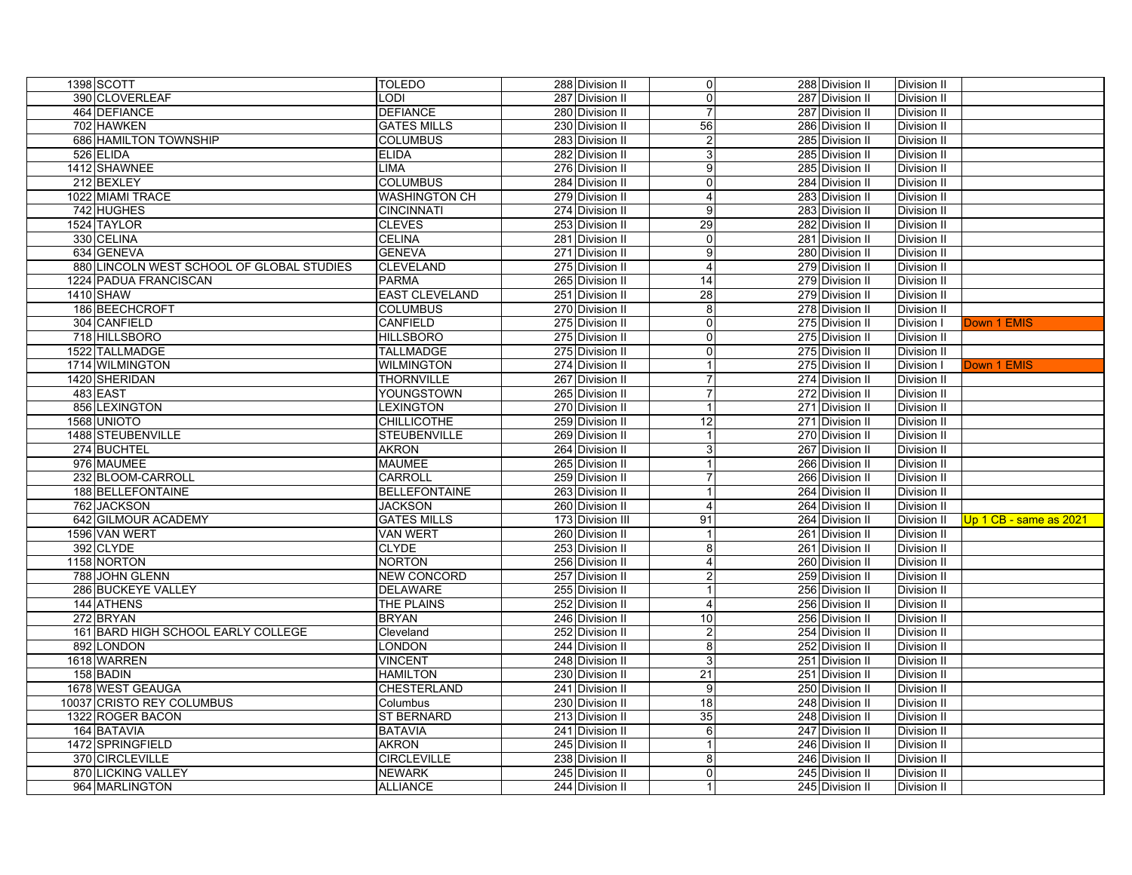| 1398 SCOTT                                | TOLEDO                | 288 Division II  | $\overline{0}$          | 288 Division II | Division II        |                        |
|-------------------------------------------|-----------------------|------------------|-------------------------|-----------------|--------------------|------------------------|
| 390 CLOVERLEAF                            | LODI                  | 287 Division II  | $\overline{0}$          | 287 Division II | Division II        |                        |
| 464 DEFIANCE                              | <b>DEFIANCE</b>       | 280 Division II  | $\overline{7}$          | 287 Division II | Division II        |                        |
| 702 HAWKEN                                | <b>GATES MILLS</b>    | 230 Division II  | 56                      | 286 Division II | Division II        |                        |
| 686 HAMILTON TOWNSHIP                     | <b>COLUMBUS</b>       | 283 Division II  | $\overline{2}$          | 285 Division II | Division II        |                        |
| 526 ELIDA                                 | <b>ELIDA</b>          | 282 Division II  | 3                       | 285 Division II | Division II        |                        |
| 1412 SHAWNEE                              | <b>LIMA</b>           | 276 Division II  | $\overline{9}$          | 285 Division II | Division II        |                        |
| 212 BEXLEY                                | <b>COLUMBUS</b>       | 284 Division II  | $\mathbf 0$             | 284 Division II | Division II        |                        |
| 1022 MIAMI TRACE                          | <b>WASHINGTON CH</b>  | 279 Division II  | $\overline{\mathbf{A}}$ | 283 Division II | Division II        |                        |
| 742 HUGHES                                | <b>CINCINNATI</b>     | 274 Division II  | 9                       | 283 Division II | Division II        |                        |
| 1524 TAYLOR                               | <b>CLEVES</b>         | 253 Division II  | 29                      | 282 Division II | Division II        |                        |
| 330 CELINA                                | <b>CELINA</b>         | 281 Division II  | $\Omega$                | 281 Division II | Division II        |                        |
| 634 GENEVA                                | <b>GENEVA</b>         | 271 Division II  | 9                       | 280 Division II | Division II        |                        |
| 880 LINCOLN WEST SCHOOL OF GLOBAL STUDIES | <b>CLEVELAND</b>      | 275 Division II  | $\boldsymbol{\Delta}$   | 279 Division II | <b>Division II</b> |                        |
| 1224 PADUA FRANCISCAN                     | <b>PARMA</b>          | 265 Division II  | 14                      | 279 Division II | Division II        |                        |
| <b>1410 SHAW</b>                          | <b>EAST CLEVELAND</b> | 251 Division II  | $\overline{28}$         | 279 Division II | <b>Division II</b> |                        |
| 186 BEECHCROFT                            | <b>COLUMBUS</b>       | 270 Division II  | 8                       | 278 Division II | Division II        |                        |
| 304 CANFIELD                              | CANFIELD              | 275 Division II  | $\Omega$                | 275 Division II | Division I         | Down 1 EMIS            |
| 718 HILLSBORO                             | <b>HILLSBORO</b>      | 275 Division II  | $\overline{0}$          | 275 Division II | Division II        |                        |
| 1522 TALLMADGE                            | <b>TALLMADGE</b>      | 275 Division II  | $\Omega$                | 275 Division II | Division II        |                        |
| 1714 WILMINGTON                           | <b>WILMINGTON</b>     | 274 Division II  | $\overline{1}$          | 275 Division II | Division I         | Down 1 EMIS            |
| 1420 SHERIDAN                             | THORNVILLE            | 267 Division II  | $\overline{7}$          | 274 Division II | Division II        |                        |
| <b>483 EAST</b>                           | YOUNGSTOWN            | 265 Division II  | $\overline{7}$          | 272 Division II | Division II        |                        |
| 856 LEXINGTON                             | LEXINGTON             | 270 Division II  | 1                       | 271 Division II | <b>Division II</b> |                        |
| 1568 UNIOTO                               | <b>CHILLICOTHE</b>    | 259 Division II  | 12                      | 271 Division II | Division II        |                        |
| 1488 STEUBENVILLE                         | <b>STEUBENVILLE</b>   | 269 Division II  | $\mathbf{1}$            | 270 Division II | Division II        |                        |
| 274 BUCHTEL                               | <b>AKRON</b>          | 264 Division II  | 3                       | 267 Division II | Division II        |                        |
| 976 MAUMEE                                | <b>MAUMEE</b>         | 265 Division II  | 1                       | 266 Division II | Division II        |                        |
| 232 BLOOM-CARROLL                         | CARROLL               | 259 Division II  | $\overline{7}$          | 266 Division II | Division II        |                        |
| 188 BELLEFONTAINE                         | <b>BELLEFONTAINE</b>  | 263 Division II  | $\overline{1}$          | 264 Division II | Division II        |                        |
| 762 JACKSON                               | <b>JACKSON</b>        | 260 Division II  | $\overline{4}$          | 264 Division II | <b>Division II</b> |                        |
| 642 GILMOUR ACADEMY                       | <b>GATES MILLS</b>    | 173 Division III | 91                      | 264 Division II | Division II        | Up 1 CB - same as 2021 |
| 1596 VAN WERT                             | <b>VAN WERT</b>       | 260 Division II  | $\mathbf{1}$            | 261 Division II | <b>Division II</b> |                        |
| 392 CLYDE                                 | <b>CLYDE</b>          | 253 Division II  | 8                       | 261 Division II | Division II        |                        |
| 1158 NORTON                               | <b>NORTON</b>         | 256 Division II  | $\overline{4}$          | 260 Division II | Division II        |                        |
| 788 JOHN GLENN                            | <b>NEW CONCORD</b>    | 257 Division II  | $\overline{c}$          | 259 Division II | Division II        |                        |
| 286 BUCKEYE VALLEY                        | <b>DELAWARE</b>       | 255 Division II  | $\mathbf{1}$            | 256 Division II | Division II        |                        |
| 144 ATHENS                                | <b>THE PLAINS</b>     | 252 Division II  | $\overline{4}$          | 256 Division II | Division II        |                        |
| 272 BRYAN                                 | <b>BRYAN</b>          | 246 Division II  | $\overline{10}$         | 256 Division II | Division II        |                        |
| 161 BARD HIGH SCHOOL EARLY COLLEGE        | Cleveland             | 252 Division II  | $\overline{c}$          | 254 Division II | Division II        |                        |
| 892 LONDON                                | LONDON                | 244 Division II  | 8                       | 252 Division II | Division II        |                        |
| 1618 WARREN                               | <b>VINCENT</b>        | 248 Division II  | $\overline{3}$          | 251 Division II | <b>Division II</b> |                        |
| 158 BADIN                                 | <b>HAMILTON</b>       | 230 Division II  | $\overline{21}$         | 251 Division II | Division II        |                        |
| 1678 WEST GEAUGA                          | CHESTERLAND           | 241 Division II  | 9                       | 250 Division II | Division II        |                        |
| 10037 CRISTO REY COLUMBUS                 | Columbus              | 230 Division II  | 18                      | 248 Division II | Division II        |                        |
| 1322 ROGER BACON                          | ST BERNARD            | 213 Division II  | 35                      | 248 Division II | Division II        |                        |
| 164 BATAVIA                               | <b>BATAVIA</b>        | 241 Division II  | 6                       | 247 Division II | Division II        |                        |
| 1472 SPRINGFIELD                          | <b>AKRON</b>          | 245 Division II  | $\overline{1}$          | 246 Division II | Division II        |                        |
| 370 CIRCLEVILLE                           | <b>CIRCLEVILLE</b>    | 238 Division II  | 8                       | 246 Division II | Division II        |                        |
| 870 LICKING VALLEY                        | <b>NEWARK</b>         | 245 Division II  | $\Omega$                | 245 Division II | Division II        |                        |
| 964 MARLINGTON                            | <b>ALLIANCE</b>       | 244 Division II  | $\vert$ 1               | 245 Division II | <b>Division II</b> |                        |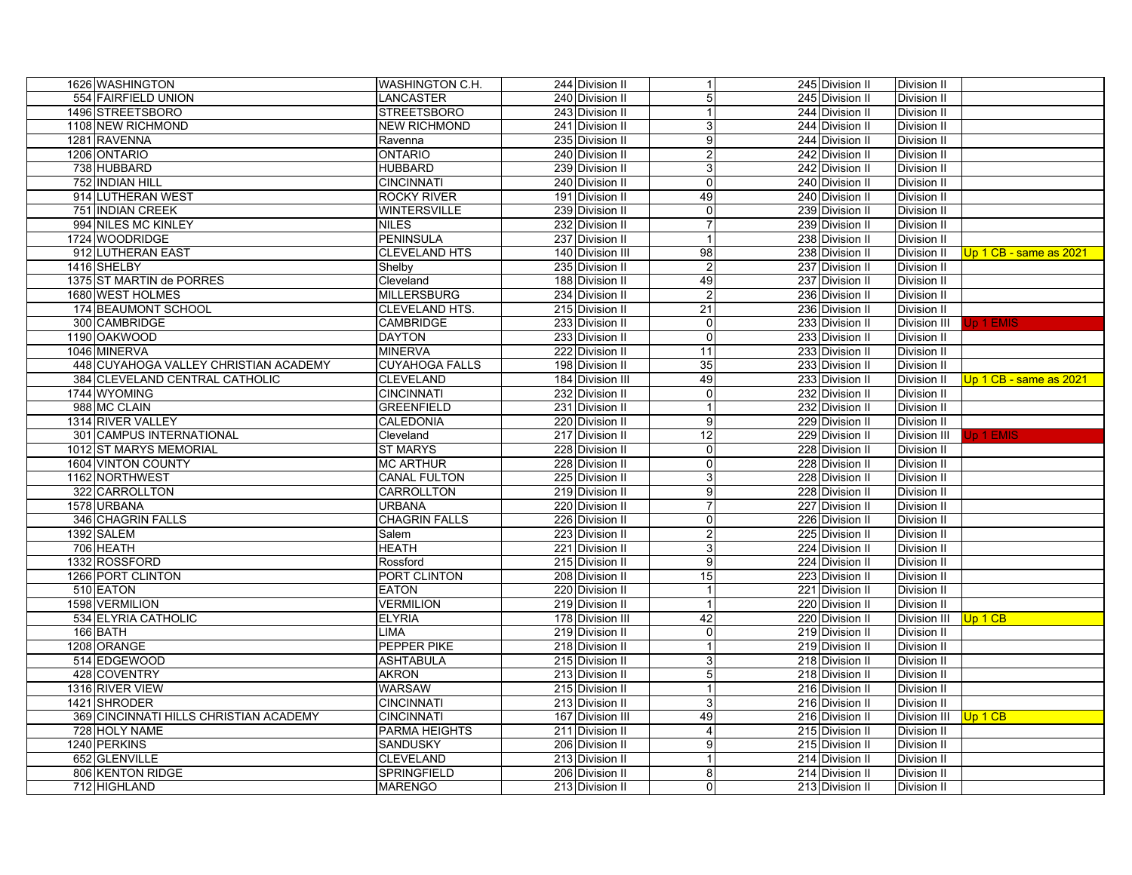| 1626 WASHINGTON                        | WASHINGTON C.H.       | 244 Division II  | $\mathbf{1}$            | 245 Division II | Division II         |                          |
|----------------------------------------|-----------------------|------------------|-------------------------|-----------------|---------------------|--------------------------|
| 554 FAIRFIELD UNION                    | <b>LANCASTER</b>      | 240 Division II  | 5                       | 245 Division II | <b>Division II</b>  |                          |
| 1496 STREETSBORO                       | <b>STREETSBORO</b>    | 243 Division II  |                         | 244 Division II | Division II         |                          |
| 1108 NEW RICHMOND                      | <b>NEW RICHMOND</b>   | 241 Division II  | 3                       | 244 Division II | Division II         |                          |
| 1281 RAVENNA                           | Ravenna               | 235 Division II  | 9                       | 244 Division II | Division II         |                          |
| 1206 ONTARIO                           | <b>ONTARIO</b>        | 240 Division II  | $\overline{\mathbf{c}}$ | 242 Division II | Division II         |                          |
| 738 HUBBARD                            | <b>HUBBARD</b>        | 239 Division II  | 3                       | 242 Division II | Division II         |                          |
| 752 INDIAN HILL                        | <b>CINCINNATI</b>     | 240 Division II  | 0                       | 240 Division II | Division II         |                          |
| 914 LUTHERAN WEST                      | <b>ROCKY RIVER</b>    | 191 Division II  | 49                      | 240 Division II | Division II         |                          |
| 751 INDIAN CREEK                       | <b>WINTERSVILLE</b>   | 239 Division II  | 0                       | 239 Division II | Division II         |                          |
| 994 NILES MC KINLEY                    | <b>NILES</b>          | 232 Division II  | $\overline{7}$          | 239 Division II | Division II         |                          |
| 1724 WOODRIDGE                         | <b>PENINSULA</b>      | 237 Division II  |                         | 238 Division II | Division II         |                          |
| 912 LUTHERAN EAST                      | <b>CLEVELAND HTS</b>  | 140 Division III | 98                      | 238 Division II | Division II         | Up 1 CB - same as 2021   |
| 1416 SHELBY                            | Shelby                | 235 Division II  | $\overline{2}$          | 237 Division II | <b>Division II</b>  |                          |
| 1375 ST MARTIN de PORRES               | Cleveland             | 188 Division II  | 49                      | 237 Division II | Division II         |                          |
| 1680 WEST HOLMES                       | <b>MILLERSBURG</b>    | 234 Division II  | $\overline{2}$          | 236 Division II | Division II         |                          |
| 174 BEAUMONT SCHOOL                    | CLEVELAND HTS.        | 215 Division II  | 21                      | 236 Division II | Division II         |                          |
| 300 CAMBRIDGE                          | <b>CAMBRIDGE</b>      | 233 Division II  | $\Omega$                | 233 Division II | Division III        | <b>Up 1 EMIS</b>         |
| 1190 OAKWOOD                           | <b>DAYTON</b>         | 233 Division II  | $\Omega$                | 233 Division II | Division II         |                          |
| 1046 MINERVA                           | <b>MINERVA</b>        | 222 Division II  | 11                      | 233 Division II | Division II         |                          |
| 448 CUYAHOGA VALLEY CHRISTIAN ACADEMY  | <b>CUYAHOGA FALLS</b> | 198 Division II  | 35                      | 233 Division II | Division II         |                          |
| 384 CLEVELAND CENTRAL CATHOLIC         | CLEVELAND             | 184 Division III | 49                      | 233 Division II | Division II         | $Up 1 CB - same as 2021$ |
| 1744 WYOMING                           | <b>CINCINNATI</b>     | 232 Division II  | $\mathbf 0$             | 232 Division II | Division II         |                          |
| 988 MC CLAIN                           | <b>GREENFIELD</b>     | 231 Division II  |                         | 232 Division II | <b>Division II</b>  |                          |
| 1314 RIVER VALLEY                      | CALEDONIA             | 220 Division II  | 9                       | 229 Division II | Division II         |                          |
| 301 CAMPUS INTERNATIONAL               | Cleveland             | 217 Division II  | 12                      | 229 Division II | Division III        | Jp 1 EMIS                |
| 1012 ST MARYS MEMORIAL                 | <b>ST MARYS</b>       | 228 Division II  | $\Omega$                | 228 Division II | Division II         |                          |
| 1604 VINTON COUNTY                     | <b>MC ARTHUR</b>      | 228 Division II  | $\Omega$                | 228 Division II | <b>Division II</b>  |                          |
| 1162 NORTHWEST                         | <b>CANAL FULTON</b>   | 225 Division II  | 3                       | 228 Division II | Division II         |                          |
| 322 CARROLLTON                         | CARROLLTON            | 219 Division II  | 9                       | 228 Division II | Division II         |                          |
| 1578 URBANA                            | <b>URBANA</b>         | 220 Division II  | $\overline{7}$          | 227 Division II | <b>Division II</b>  |                          |
| 346 CHAGRIN FALLS                      | <b>CHAGRIN FALLS</b>  | 226 Division II  | $\overline{0}$          | 226 Division II | Division II         |                          |
| 1392 SALEM                             | Salem                 | 223 Division II  | $\overline{c}$          | 225 Division II | Division II         |                          |
| 706 HEATH                              | <b>HEATH</b>          | 221 Division II  | 3                       | 224 Division II | Division II         |                          |
| 1332 ROSSFORD                          | Rossford              | 215 Division II  | 9                       | 224 Division II | Division II         |                          |
| 1266 PORT CLINTON                      | PORT CLINTON          | 208 Division II  | 15                      | 223 Division II | Division II         |                          |
| 510 EATON                              | <b>EATON</b>          | 220 Division II  | $\mathbf{1}$            | 221 Division II | Division II         |                          |
| 1598 VERMILION                         | <b>VERMILION</b>      | 219 Division II  | $\overline{1}$          | 220 Division II | Division II         |                          |
| 534 ELYRIA CATHOLIC                    | <b>ELYRIA</b>         | 178 Division III | 42                      | 220 Division II | Division III        | Up 1 CB                  |
| 166 BATH                               | <b>LIMA</b>           | 219 Division II  | 0                       | 219 Division II | Division II         |                          |
| 1208 ORANGE                            | <b>PEPPER PIKE</b>    | 218 Division II  | $\mathbf{1}$            | 219 Division II | Division II         |                          |
| 514 EDGEWOOD                           | <b>ASHTABULA</b>      | 215 Division II  | 3                       | 218 Division II | <b>Division II</b>  |                          |
| 428 COVENTRY                           | <b>AKRON</b>          | 213 Division II  | 5                       | 218 Division II | Division II         |                          |
| 1316 RIVER VIEW                        | <b>WARSAW</b>         | 215 Division II  | $\mathbf{1}$            | 216 Division II | Division II         |                          |
| 1421 SHRODER                           | <b>CINCINNATI</b>     | 213 Division II  | 3                       | 216 Division II | Division II         |                          |
| 369 CINCINNATI HILLS CHRISTIAN ACADEMY | <b>CINCINNATI</b>     | 167 Division III | 49                      | 216 Division II | <b>Division III</b> | Up 1 CB                  |
| 728 HOLY NAME                          | PARMA HEIGHTS         | 211 Division II  | 4                       | 215 Division II | Division II         |                          |
| 1240 PERKINS                           | <b>SANDUSKY</b>       | 206 Division II  | 9                       | 215 Division II | Division II         |                          |
| 652 GLENVILLE                          | CLEVELAND             | 213 Division II  | $\mathbf{1}$            | 214 Division II | Division II         |                          |
| 806 KENTON RIDGE                       | SPRINGFIELD           | 206 Division II  | 8                       | 214 Division II | Division II         |                          |
| 712 HIGHLAND                           | <b>MARENGO</b>        | 213 Division II  | $\overline{0}$          | 213 Division II | <b>Division II</b>  |                          |
|                                        |                       |                  |                         |                 |                     |                          |